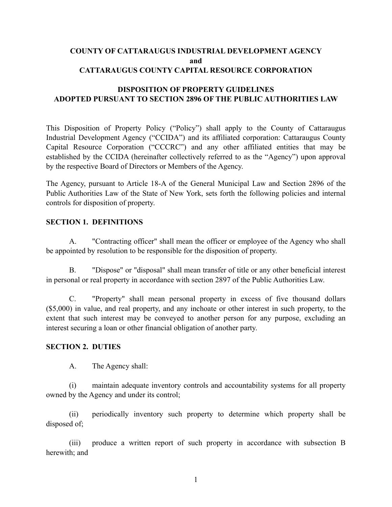# **COUNTY OF CATTARAUGUS INDUSTRIAL DEVELOPMENT AGENCY and CATTARAUGUS COUNTY CAPITAL RESOURCE CORPORATION**

# **DISPOSITION OF PROPERTY GUIDELINES ADOPTED PURSUANT TO SECTION 2896 OF THE PUBLIC AUTHORITIES LAW**

This Disposition of Property Policy ("Policy") shall apply to the County of Cattaraugus Industrial Development Agency ("CCIDA") and its affiliated corporation: Cattaraugus County Capital Resource Corporation ("CCCRC") and any other affiliated entities that may be established by the CCIDA (hereinafter collectively referred to as the "Agency") upon approval by the respective Board of Directors or Members of the Agency.

The Agency, pursuant to Article 18-A of the General Municipal Law and Section 2896 of the Public Authorities Law of the State of New York, sets forth the following policies and internal controls for disposition of property.

#### **SECTION 1. DEFINITIONS**

A. "Contracting officer" shall mean the officer or employee of the Agency who shall be appointed by resolution to be responsible for the disposition of property.

B. "Dispose" or "disposal" shall mean transfer of title or any other beneficial interest in personal or real property in accordance with section 2897 of the Public Authorities Law.

C. "Property" shall mean personal property in excess of five thousand dollars (\$5,000) in value, and real property, and any inchoate or other interest in such property, to the extent that such interest may be conveyed to another person for any purpose, excluding an interest securing a loan or other financial obligation of another party.

#### **SECTION 2. DUTIES**

A. The Agency shall:

(i) maintain adequate inventory controls and accountability systems for all property owned by the Agency and under its control;

(ii) periodically inventory such property to determine which property shall be disposed of;

(iii) produce a written report of such property in accordance with subsection B herewith; and

1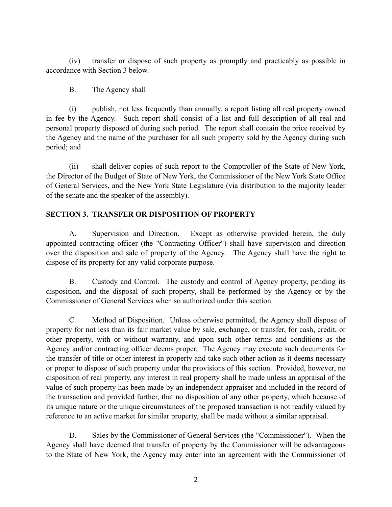(iv) transfer or dispose of such property as promptly and practicably as possible in accordance with Section 3 below.

### B. The Agency shall

(i) publish, not less frequently than annually, a report listing all real property owned in fee by the Agency. Such report shall consist of a list and full description of all real and personal property disposed of during such period. The report shall contain the price received by the Agency and the name of the purchaser for all such property sold by the Agency during such period; and

(ii) shall deliver copies of such report to the Comptroller of the State of New York, the Director of the Budget of State of New York, the Commissioner of the New York State Office of General Services, and the New York State Legislature (via distribution to the majority leader of the senate and the speaker of the assembly).

# **SECTION 3. TRANSFER OR DISPOSITION OF PROPERTY**

A. Supervision and Direction. Except as otherwise provided herein, the duly appointed contracting officer (the "Contracting Officer") shall have supervision and direction over the disposition and sale of property of the Agency. The Agency shall have the right to dispose of its property for any valid corporate purpose.

B. Custody and Control. The custody and control of Agency property, pending its disposition, and the disposal of such property, shall be performed by the Agency or by the Commissioner of General Services when so authorized under this section.

C. Method of Disposition. Unless otherwise permitted, the Agency shall dispose of property for not less than its fair market value by sale, exchange, or transfer, for cash, credit, or other property, with or without warranty, and upon such other terms and conditions as the Agency and/or contracting officer deems proper. The Agency may execute such documents for the transfer of title or other interest in property and take such other action as it deems necessary or proper to dispose of such property under the provisions of this section. Provided, however, no disposition of real property, any interest in real property shall be made unless an appraisal of the value of such property has been made by an independent appraiser and included in the record of the transaction and provided further, that no disposition of any other property, which because of its unique nature or the unique circumstances of the proposed transaction is not readily valued by reference to an active market for similar property, shall be made without a similar appraisal.

D. Sales by the Commissioner of General Services (the "Commissioner"). When the Agency shall have deemed that transfer of property by the Commissioner will be advantageous to the State of New York, the Agency may enter into an agreement with the Commissioner of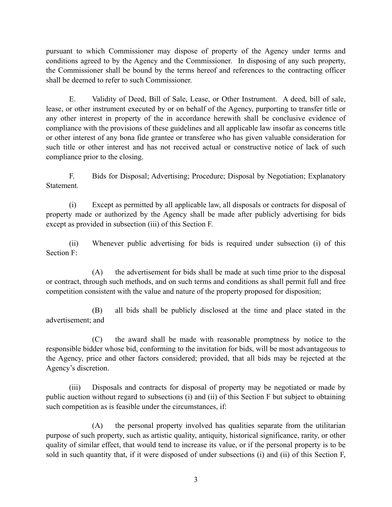pursuant to which Commissioner may dispose of property of the Agency under terms and conditions agreed to by the Agency and the Commissioner. In disposing of any such property, the Commissioner shall be bound by the terms hereof and references to the contracting officer shall be deemed to refer to such Commissioner.

E. Validity of Deed, Bill of Sale, Lease, or Other Instrument. A deed, bill of sale, lease, or other instrument executed by or on behalf of the Agency, purporting to transfer title or any other interest in property of the in accordance herewith shall be conclusive evidence of compliance with the provisions of these guidelines and all applicable law insofar as concerns title or other interest of any bona fide grantee or transferee who has given valuable consideration for such title or other interest and has not received actual or constructive notice of lack of such compliance prior to the closing.

F. Bids for Disposal; Advertising; Procedure; Disposal by Negotiation; Explanatory Statement.

(i) Except as permitted by all applicable law, all disposals or contracts for disposal of property made or authorized by the Agency shall be made after publicly advertising for bids except as provided in subsection (iii) of this Section F.

(ii) Whenever public advertising for bids is required under subsection (i) of this Section F:

(A) the advertisement for bids shall be made at such time prior to the disposal or contract, through such methods, and on such terms and conditions as shall permit full and free competition consistent with the value and nature of the property proposed for disposition;

(B) all bids shall be publicly disclosed at the time and place stated in the advertisement; and

(C) the award shall be made with reasonable promptness by notice to the responsible bidder whose bid, conforming to the invitation for bids, will be most advantageous to the Agency, price and other factors considered; provided, that all bids may be rejected at the Agency's discretion.

(iii) Disposals and contracts for disposal of property may be negotiated or made by public auction without regard to subsections (i) and (ii) of this Section F but subject to obtaining such competition as is feasible under the circumstances, if:

(A) the personal property involved has qualities separate from the utilitarian purpose of such property, such as artistic quality, antiquity, historical significance, rarity, or other quality of similar effect, that would tend to increase its value, or if the personal property is to be sold in such quantity that, if it were disposed of under subsections (i) and (ii) of this Section F,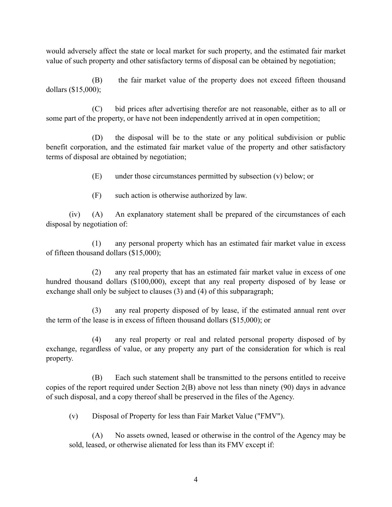would adversely affect the state or local market for such property, and the estimated fair market value of such property and other satisfactory terms of disposal can be obtained by negotiation;

(B) the fair market value of the property does not exceed fifteen thousand dollars (\$15,000);

(C) bid prices after advertising therefor are not reasonable, either as to all or some part of the property, or have not been independently arrived at in open competition;

(D) the disposal will be to the state or any political subdivision or public benefit corporation, and the estimated fair market value of the property and other satisfactory terms of disposal are obtained by negotiation;

(E) under those circumstances permitted by subsection (v) below; or

(F) such action is otherwise authorized by law.

(iv) (A) An explanatory statement shall be prepared of the circumstances of each disposal by negotiation of:

(1) any personal property which has an estimated fair market value in excess of fifteen thousand dollars (\$15,000);

(2) any real property that has an estimated fair market value in excess of one hundred thousand dollars (\$100,000), except that any real property disposed of by lease or exchange shall only be subject to clauses (3) and (4) of this subparagraph;

(3) any real property disposed of by lease, if the estimated annual rent over the term of the lease is in excess of fifteen thousand dollars (\$15,000); or

(4) any real property or real and related personal property disposed of by exchange, regardless of value, or any property any part of the consideration for which is real property.

(B) Each such statement shall be transmitted to the persons entitled to receive copies of the report required under Section 2(B) above not less than ninety (90) days in advance of such disposal, and a copy thereof shall be preserved in the files of the Agency.

(v) Disposal of Property for less than Fair Market Value ("FMV").

(A) No assets owned, leased or otherwise in the control of the Agency may be sold, leased, or otherwise alienated for less than its FMV except if: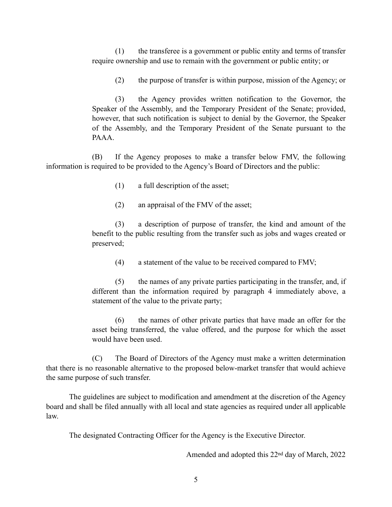(1) the transferee is a government or public entity and terms of transfer require ownership and use to remain with the government or public entity; or

(2) the purpose of transfer is within purpose, mission of the Agency; or

(3) the Agency provides written notification to the Governor, the Speaker of the Assembly, and the Temporary President of the Senate; provided, however, that such notification is subject to denial by the Governor, the Speaker of the Assembly, and the Temporary President of the Senate pursuant to the PAAA.

(B) If the Agency proposes to make a transfer below FMV, the following information is required to be provided to the Agency's Board of Directors and the public:

(1) a full description of the asset;

(2) an appraisal of the FMV of the asset;

(3) a description of purpose of transfer, the kind and amount of the benefit to the public resulting from the transfer such as jobs and wages created or preserved;

(4) a statement of the value to be received compared to FMV;

(5) the names of any private parties participating in the transfer, and, if different than the information required by paragraph 4 immediately above, a statement of the value to the private party;

(6) the names of other private parties that have made an offer for the asset being transferred, the value offered, and the purpose for which the asset would have been used.

(C) The Board of Directors of the Agency must make a written determination that there is no reasonable alternative to the proposed below-market transfer that would achieve the same purpose of such transfer.

The guidelines are subject to modification and amendment at the discretion of the Agency board and shall be filed annually with all local and state agencies as required under all applicable law.

The designated Contracting Officer for the Agency is the Executive Director.

Amended and adopted this 22nd day of March, 2022